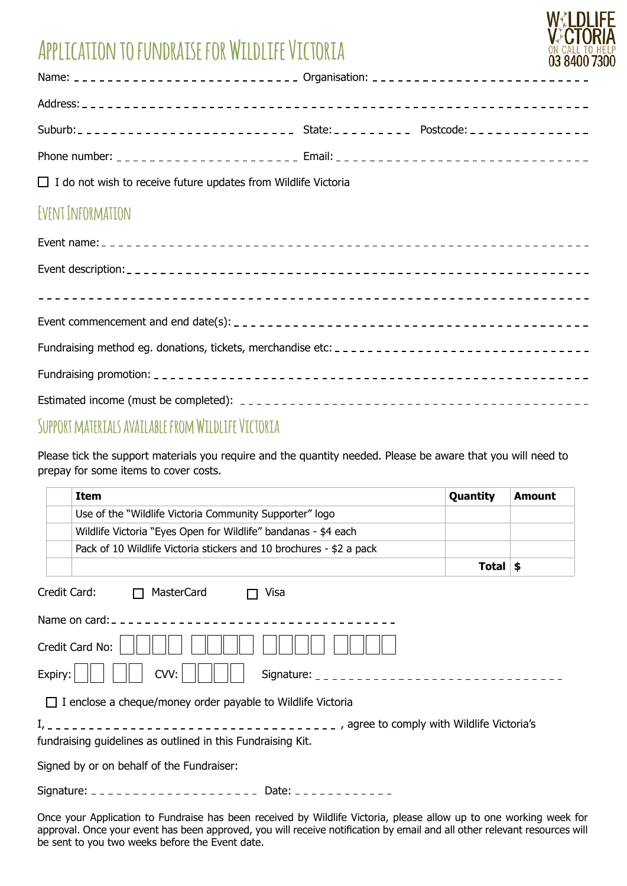# **Application to fundraise for Wildlife Victoria**



| Name: ___________________________ Organisation: ________________________________ |  |
|----------------------------------------------------------------------------------|--|
|                                                                                  |  |
|                                                                                  |  |
|                                                                                  |  |

 $\Box$  I do not wish to receive future updates from Wildlife Victoria

### **Event Information**

## **Support materials available from Wildlife Victoria**

Please tick the support materials you require and the quantity needed. Please be aware that you will need to prepay for some items to cover costs.

|         | <b>Item</b>                                                                                                                                                                                                                           | Quantity            | <b>Amount</b> |
|---------|---------------------------------------------------------------------------------------------------------------------------------------------------------------------------------------------------------------------------------------|---------------------|---------------|
|         | Use of the "Wildlife Victoria Community Supporter" logo                                                                                                                                                                               |                     |               |
|         | Wildlife Victoria "Eyes Open for Wildlife" bandanas - \$4 each                                                                                                                                                                        |                     |               |
|         | Pack of 10 Wildlife Victoria stickers and 10 brochures - \$2 a pack                                                                                                                                                                   |                     |               |
|         |                                                                                                                                                                                                                                       | Total $\frac{1}{2}$ |               |
|         | Credit Card:<br>MasterCard<br>Visa<br>$\Box$                                                                                                                                                                                          |                     |               |
|         |                                                                                                                                                                                                                                       |                     |               |
|         | Credit Card No:                                                                                                                                                                                                                       |                     |               |
| Expiry: | CVV:                                                                                                                                                                                                                                  |                     |               |
|         | $\Box$ I enclose a cheque/money order payable to Wildlife Victoria                                                                                                                                                                    |                     |               |
|         | fundraising guidelines as outlined in this Fundraising Kit.                                                                                                                                                                           |                     |               |
|         | Signed by or on behalf of the Fundraiser:                                                                                                                                                                                             |                     |               |
|         |                                                                                                                                                                                                                                       |                     |               |
|         | Once your Application to Fundraise has been received by Wildlife Victoria, please allow up to one working week<br>annroval Once vour event has been annroved, you will receive notification by email and all other relevant resources |                     |               |

Once your Application to Fundraise has been received by Wildlife Victoria, please allow up to one working week for approval. Once your event has been approved, you will receive notification by email and all other relevant resources will be sent to you two weeks before the Event date.